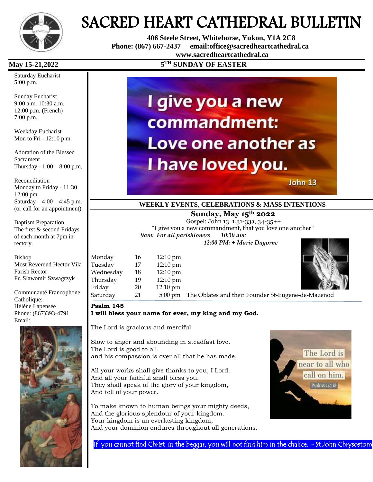

# SACRED HEART CATHEDRAL BULLETIN

 **406 Steele Street, Whitehorse, Yukon, Y1A 2C8 Phone: (867) 667-2437 email:office@sacredheartcathedral.ca [www.sacredheartcathedral.ca](http://www.sacredheartcathedral.ca/)**

#### **May 15-21,2022**

Saturday Eucharist 5:00 p.m.

Sunday Eucharist 9:00 a.m. 10:30 a.m. 12:00 p.m. (French) 7:00 p.m.

Weekday Eucharist Mon to Fri - 12:10 p.m.

Adoration of the Blessed Sacrament Thursday - 1:00 – 8:00 p.m.

Reconciliation Monday to Friday - 11:30 – 12:00 pm Saturday  $-4:00 - 4:45$  p.m. (or call for an appointment)

Baptism Preparation The first & second Fridays of each month at 7pm in rectory.

Bishop Most Reverend Hector Vila Parish Rector Fr. Slawomir Szwagrzyk

Communauté Francophone Catholique: Hélène Lapensée Phone: (867)393-4791 Email:



# **TH SUNDAY OF EASTER**



John 13

### **WEEKLY EVENTS, CELEBRATIONS & MASS INTENTIONS**

#### **Sunday, May 15th 2022**

Gospel: John 13. 1,31-33a, 34-35++ "I give you a new commandment, that you love one another" *9am: For all parishioners 10:30 am: 12:00 PM: + Marie Dagorne*

| Monday                          | 16 | $12:10 \text{ pm}$         |
|---------------------------------|----|----------------------------|
| Tuesday                         | 17 | 12:10 pm                   |
| Wednesday                       | 18 | 12:10 pm                   |
| Thursday                        | 19 | 12:10 pm                   |
| Friday                          | 20 | 12:10 pm                   |
| $C_{\rm{max}}$ . The set of $1$ | ີ  | $\Gamma$ $\Omega$ $\Omega$ |



Saturday 21 5:00 pm The Oblates and their Founder St-Eugene-de-Mazenod

#### **Psalm 145 I will bless your name for ever, my king and my God.**

The Lord is gracious and merciful.

Slow to anger and abounding in steadfast love. The Lord is good to all, and his compassion is over all that he has made.

All your works shall give thanks to you, I Lord. And all your faithful shall bless you. They shall speak of the glory of your kingdom, And tell of your power.

To make known to human beings your mighty deeds, And the glorious splendour of your kingdom. Your kingdom is an everlasting kingdom, And your dominion endures throughout all generations.



If you cannot find Christ in the beggar, you will not find him in the chalice. – St John Chrysostom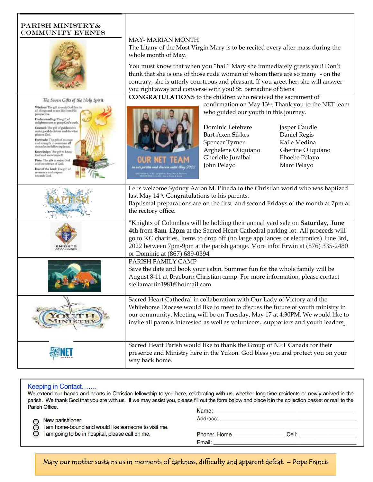#### PARISH MINISTRy& COMMUNITY EVENTS



The Seven Gifts of the Holy Spirit

Wisdom: The gift to seek God float in<br>all things and to see life from His<br>perspective. Understanding: The gift of enlightenment to grasp God's truth. Courses The gift of guidance to<br>make good decisions and do what<br>pleases God.

**Fortitude:** The gift of courage<br>and strength to overcome all<br>obstuches in following Jesus. Knowledge: The gift to know<br>God and know myself. Piety: The gift to enjoy God<br>and the service of God. Fear of the Lord: The gill of reverence and respect<br>towards God.

#### MAY- MARIAN MONTH

The Litany of the Most Virgin Mary is to be recited every after mass during the whole month of May.

You must know that when you "hail" Mary she immediately greets you! Don't think that she is one of those rude woman of whom there are so many - on the contrary, she is utterly courteous and pleasant. If you greet her, she will answer you right away and converse with you! St. Bernadine of Siena

**CONGRATULATIONS** to the children who received the sacrament of

confirmation on May 13th. Thank you to the NET team who guided our youth in this journey.



Dominic Lefebvre Jasper Caudle Bart Axen Sikkes Daniel Regis Spencer Tyrner Kaile Medina Arghelene Oliquiano Gherine Oliquiano Gherielle Juralbal Phoebe Pelayo John Pelayo Marc Pelayo

| Let's welcome Sydney Aaron M. Pineda to the Christian world who was baptized<br>last May 14 <sup>th</sup> . Congratulations to his parents.<br>Baptismal preparations are on the first and second Fridays of the month at 7pm at<br>the rectory office.                                                                                                                  |
|--------------------------------------------------------------------------------------------------------------------------------------------------------------------------------------------------------------------------------------------------------------------------------------------------------------------------------------------------------------------------|
| "Knights of Columbus will be holding their annual yard sale on Saturday, June<br>4th from 8am-12pm at the Sacred Heart Cathedral parking lot. All proceeds will<br>go to KC charities. Items to drop off (no large appliances or electronics) June 3rd,<br>2022 between 7pm-9pm at the parish garage. More info: Erwin at (876) 335-2480<br>or Dominic at (867) 689-0394 |
| PARISH FAMILY CAMP<br>Save the date and book your cabin. Summer fun for the whole family will be<br>August 8-11 at Braeburn Christian camp. For more information, please contact<br>stellamartin1981@hotmail.com                                                                                                                                                         |
| Sacred Heart Cathedral in collaboration with Our Lady of Victory and the<br>Whitehorse Diocese would like to meet to discuss the future of youth ministry in<br>our community. Meeting will be on Tuesday, May 17 at 4:30PM. We would like to<br>invite all parents interested as well as volunteers, supporters and youth leaders.                                      |
| Sacred Heart Parish would like to thank the Group of NET Canada for their<br>presence and Ministry here in the Yukon. God bless you and protect you on your<br>way back home.                                                                                                                                                                                            |

#### Keeping in Contact.......

We extend our hands and hearts in Christian fellowship to you here, celebrating with us, whether long-time residents or newly arrived in the parish. We thank God that you are with us. If we may assist you, please fill out the form below and place it in the collection basket or mail to the Parish Office.

| Name:       |       |  |
|-------------|-------|--|
| Address:    |       |  |
| Phone: Home | Cell: |  |
| Email:      |       |  |
|             |       |  |

Mary our mother sustains us in moments of darkness, difficulty and apparent defeat. – Pope Francis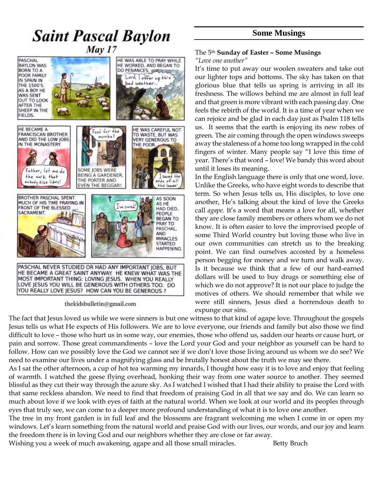## **Some Musings**

# **Saint Pascal Baylon**  $Mav17$ HE WAS ABLE TO PRAY WHILE



thekidsbulletin@gmail.com

#### The 5th **Sunday of Easter – Some Musings** *"Love one another"*

It's time to put away our woolen sweaters and take out our lighter tops and bottoms. The sky has taken on that glorious blue that tells us spring is arriving in all its freshness. The willows behind me are almost in full leaf and that green is more vibrant with each passing day. One feels the rebirth of the world. It is a time of year when we can rejoice and be glad in each day just as Psalm 118 tells us. It seems that the earth is enjoying its new robes of green. The air coming through the open windows sweeps away the staleness of a home too long wrapped in the cold fingers of winter. Many people say "I love this time of year. There's that word – love! We bandy this word about until it loses its meaning.

In the English language there is only that one word, love. Unlike the Greeks, who have eight words to describe that term. So when Jesus tells us, His disciples, to love one another, He's talking about the kind of love the Greeks call *agape.* It's a word that means a love for all, whether they are close family members or others whom we do not know. It is often easier to love the improvised people of some Third World country but loving those who live in our own communities can stretch us to the breaking point. We can find ourselves accosted by a homeless person begging for money and we turn and walk away. Is it because we think that a few of our hard-earned dollars will be used to buy drugs or something else of which we do not approve? It is not our place to judge the motives of others. We should remember that while we were still sinners, Jesus died a horrendous death to expunge our sins.

The fact that Jesus loved us while we were sinners is but one witness to that kind of agape love. Throughout the gospels Jesus tells us what He expects of His followers. We are to love everyone, our friends and family but also those we find difficult to love – those who hurt us in some way, our enemies, those who offend us, sadden our hearts or cause hurt, or pain and sorrow. Those great commandments – love the Lord your God and your neighbor as yourself can be hard to follow. How can we possibly love the God we cannot see if we don't love those living around us whom we do see? We need to examine our lives under a magnifying glass and be brutally honest about the truth we may see there.

As I sat the other afternoon, a cup of hot tea warming my innards, I thought how easy it is to love and enjoy that feeling of warmth. I watched the geese flying overhead, honking their way from one water source to another. They seemed blissful as they cut their way through the azure sky. As I watched I wished that I had their ability to praise the Lord with that same reckless abandon. We need to find that freedom of praising God in all that we say and do. We can learn so much about love if we look with eyes of faith at the natural world. When we look at our world and its peoples through eyes that truly see, we can come to a deeper more profound understanding of what it is to love one another.

The tree in my front garden is in full leaf and the blossoms are fragrant welcoming me when I come in or open my windows. Let's learn something from the natural world and praise God with our lives, our words, and our joy and learn the freedom there is in loving God and our neighbors whether they are close or far away.

Wishing you a week of much awakening, agape and all those small miracles. Betty Bruch